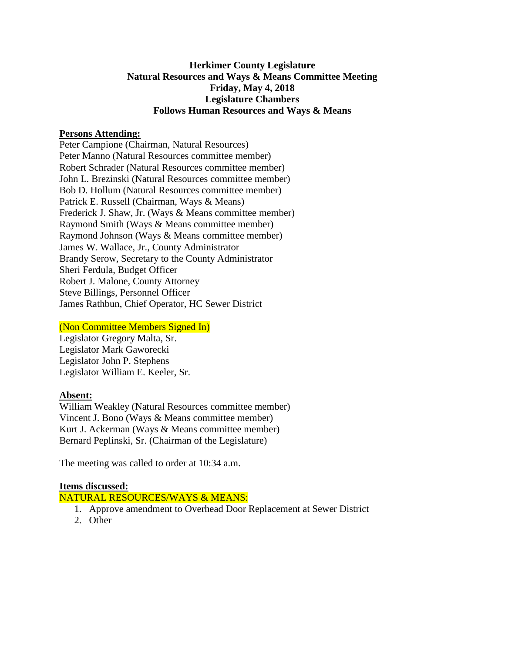## **Herkimer County Legislature Natural Resources and Ways & Means Committee Meeting Friday, May 4, 2018 Legislature Chambers Follows Human Resources and Ways & Means**

#### **Persons Attending:**

Peter Campione (Chairman, Natural Resources) Peter Manno (Natural Resources committee member) Robert Schrader (Natural Resources committee member) John L. Brezinski (Natural Resources committee member) Bob D. Hollum (Natural Resources committee member) Patrick E. Russell (Chairman, Ways & Means) Frederick J. Shaw, Jr. (Ways & Means committee member) Raymond Smith (Ways & Means committee member) Raymond Johnson (Ways & Means committee member) James W. Wallace, Jr., County Administrator Brandy Serow, Secretary to the County Administrator Sheri Ferdula, Budget Officer Robert J. Malone, County Attorney Steve Billings, Personnel Officer James Rathbun, Chief Operator, HC Sewer District

### (Non Committee Members Signed In)

Legislator Gregory Malta, Sr. Legislator Mark Gaworecki Legislator John P. Stephens Legislator William E. Keeler, Sr.

#### **Absent:**

William Weakley (Natural Resources committee member) Vincent J. Bono (Ways & Means committee member) Kurt J. Ackerman (Ways & Means committee member) Bernard Peplinski, Sr. (Chairman of the Legislature)

The meeting was called to order at 10:34 a.m.

#### **Items discussed:**

NATURAL RESOURCES/WAYS & MEANS:

- 1. Approve amendment to Overhead Door Replacement at Sewer District
- 2. Other